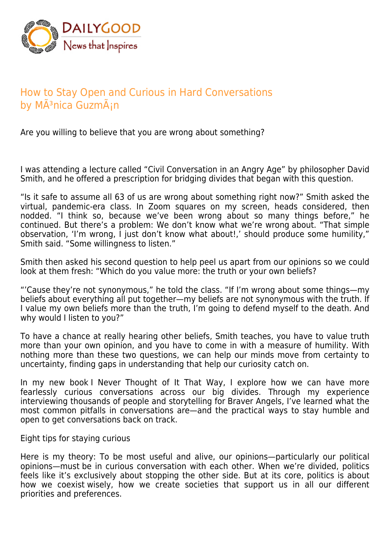

## How to Stay Open and Curious in Hard Conversations by  $M\tilde{A}^3$ nica Guzm $\tilde{A}$ in

Are you willing to believe that you are wrong about something?

I was attending a lecture called "Civil Conversation in an Angry Age" by philosopher David Smith, and he offered a prescription for bridging divides that began with this question.

"Is it safe to assume all 63 of us are wrong about something right now?" Smith asked the virtual, pandemic-era class. In Zoom squares on my screen, heads considered, then nodded. "I think so, because we've been wrong about so many things before," he continued. But there's a problem: We don't know what we're wrong about. "That simple observation, 'I'm wrong, I just don't know what about!,' should produce some humility," Smith said. "Some willingness to listen."

Smith then asked his second question to help peel us apart from our opinions so we could look at them fresh: "Which do you value more: the truth or your own beliefs?

"'Cause they're not synonymous," he told the class. "If I'm wrong about some things—my beliefs about everything all put together—my beliefs are not synonymous with the truth. If I value my own beliefs more than the truth, I'm going to defend myself to the death. And why would I listen to you?"

To have a chance at really hearing other beliefs, Smith teaches, you have to value truth more than your own opinion, and you have to come in with a measure of humility. With nothing more than these two questions, we can help our minds move from certainty to uncertainty, finding gaps in understanding that help our curiosity catch on.

In my new book I Never Thought of It That Way, I explore how we can have more fearlessly curious conversations across our big divides. Through my experience interviewing thousands of people and storytelling for Braver Angels, I've learned what the most common pitfalls in conversations are—and the practical ways to stay humble and open to get conversations back on track.

Eight tips for staying curious

Here is my theory: To be most useful and alive, our opinions—particularly our political opinions—must be in curious conversation with each other. When we're divided, politics feels like it's exclusively about stopping the other side. But at its core, politics is about how we coexist wisely, how we create societies that support us in all our different priorities and preferences.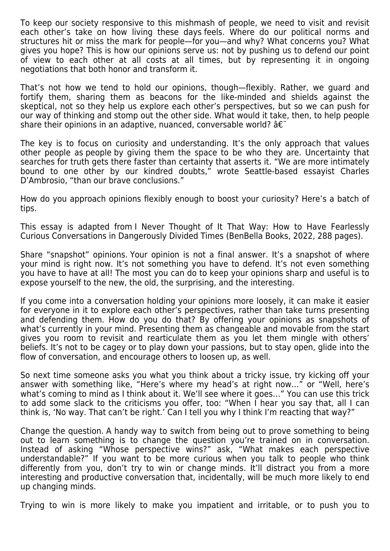To keep our society responsive to this mishmash of people, we need to visit and revisit each other's take on how living these days feels. Where do our political norms and structures hit or miss the mark for people—for you—and why? What concerns you? What gives you hope? This is how our opinions serve us: not by pushing us to defend our point of view to each other at all costs at all times, but by representing it in ongoing negotiations that both honor and transform it.

That's not how we tend to hold our opinions, though—flexibly. Rather, we guard and fortify them, sharing them as beacons for the like-minded and shields against the skeptical, not so they help us explore each other's perspectives, but so we can push for our way of thinking and stomp out the other side. What would it take, then, to help people share their opinions in an adaptive, nuanced, conversable world?  $\hat{a}\hat{\epsilon}$ 

The key is to focus on curiosity and understanding. It's the only approach that values other people as people by giving them the space to be who they are. Uncertainty that searches for truth gets there faster than certainty that asserts it. "We are more intimately bound to one other by our kindred doubts," wrote Seattle-based essayist Charles D'Ambrosio, "than our brave conclusions."

How do you approach opinions flexibly enough to boost your curiosity? Here's a batch of tips.

This essay is adapted from I Never Thought of It That Way: How to Have Fearlessly Curious Conversations in Dangerously Divided Times (BenBella Books, 2022, 288 pages).

Share "snapshot" opinions. Your opinion is not a final answer. It's a snapshot of where your mind is right now. It's not something you have to defend. It's not even something you have to have at all! The most you can do to keep your opinions sharp and useful is to expose yourself to the new, the old, the surprising, and the interesting.

If you come into a conversation holding your opinions more loosely, it can make it easier for everyone in it to explore each other's perspectives, rather than take turns presenting and defending them. How do you do that? By offering your opinions as snapshots of what's currently in your mind. Presenting them as changeable and movable from the start gives you room to revisit and rearticulate them as you let them mingle with others' beliefs. It's not to be cagey or to play down your passions, but to stay open, glide into the flow of conversation, and encourage others to loosen up, as well.

So next time someone asks you what you think about a tricky issue, try kicking off your answer with something like, "Here's where my head's at right now…" or "Well, here's what's coming to mind as I think about it. We'll see where it goes…" You can use this trick to add some slack to the criticisms you offer, too: "When I hear you say that, all I can think is, 'No way. That can't be right.' Can I tell you why I think I'm reacting that way?"

Change the question. A handy way to switch from being out to prove something to being out to learn something is to change the question you're trained on in conversation. Instead of asking "Whose perspective wins?" ask, "What makes each perspective understandable?" If you want to be more curious when you talk to people who think differently from you, don't try to win or change minds. It'll distract you from a more interesting and productive conversation that, incidentally, will be much more likely to end up changing minds.

Trying to win is more likely to make you impatient and irritable, or to push you to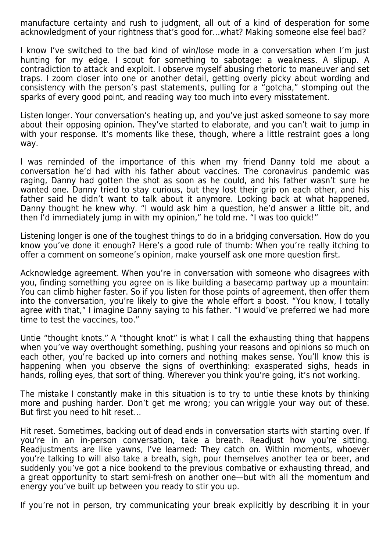manufacture certainty and rush to judgment, all out of a kind of desperation for some acknowledgment of your rightness that's good for…what? Making someone else feel bad?

I know I've switched to the bad kind of win/lose mode in a conversation when I'm just hunting for my edge. I scout for something to sabotage: a weakness. A slipup. A contradiction to attack and exploit. I observe myself abusing rhetoric to maneuver and set traps. I zoom closer into one or another detail, getting overly picky about wording and consistency with the person's past statements, pulling for a "gotcha," stomping out the sparks of every good point, and reading way too much into every misstatement.

Listen longer. Your conversation's heating up, and you've just asked someone to say more about their opposing opinion. They've started to elaborate, and you can't wait to jump in with your response. It's moments like these, though, where a little restraint goes a long way.

I was reminded of the importance of this when my friend Danny told me about a conversation he'd had with his father about vaccines. The coronavirus pandemic was raging, Danny had gotten the shot as soon as he could, and his father wasn't sure he wanted one. Danny tried to stay curious, but they lost their grip on each other, and his father said he didn't want to talk about it anymore. Looking back at what happened, Danny thought he knew why. "I would ask him a question, he'd answer a little bit, and then I'd immediately jump in with my opinion," he told me. "I was too quick!"

Listening longer is one of the toughest things to do in a bridging conversation. How do you know you've done it enough? Here's a good rule of thumb: When you're really itching to offer a comment on someone's opinion, make yourself ask one more question first.

Acknowledge agreement. When you're in conversation with someone who disagrees with you, finding something you agree on is like building a basecamp partway up a mountain: You can climb higher faster. So if you listen for those points of agreement, then offer them into the conversation, you're likely to give the whole effort a boost. "You know, I totally agree with that," I imagine Danny saying to his father. "I would've preferred we had more time to test the vaccines, too."

Untie "thought knots." A "thought knot" is what I call the exhausting thing that happens when you've way overthought something, pushing your reasons and opinions so much on each other, you're backed up into corners and nothing makes sense. You'll know this is happening when you observe the signs of overthinking: exasperated sighs, heads in hands, rolling eyes, that sort of thing. Wherever you think you're going, it's not working.

The mistake I constantly make in this situation is to try to untie these knots by thinking more and pushing harder. Don't get me wrong; you can wriggle your way out of these. But first you need to hit reset…

Hit reset. Sometimes, backing out of dead ends in conversation starts with starting over. If you're in an in-person conversation, take a breath. Readjust how you're sitting. Readjustments are like yawns, I've learned: They catch on. Within moments, whoever you're talking to will also take a breath, sigh, pour themselves another tea or beer, and suddenly you've got a nice bookend to the previous combative or exhausting thread, and a great opportunity to start semi-fresh on another one—but with all the momentum and energy you've built up between you ready to stir you up.

If you're not in person, try communicating your break explicitly by describing it in your